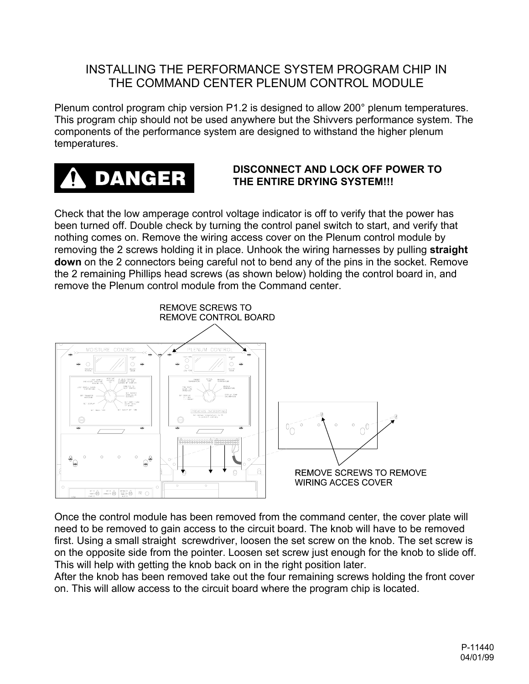## INSTALLING THE PERFORMANCE SYSTEM PROGRAM CHIP IN THE COMMAND CENTER PLENUM CONTROL MODULE

Plenum control program chip version P1.2 is designed to allow 200° plenum temperatures. This program chip should not be used anywhere but the Shivvers performance system. The components of the performance system are designed to withstand the higher plenum temperatures.



## **DISCONNECT AND LOCK OFF POWER TO THE ENTIRE DRYING SYSTEM!!!**

Check that the low amperage control voltage indicator is off to verify that the power has been turned off. Double check by turning the control panel switch to start, and verify that nothing comes on. Remove the wiring access cover on the Plenum control module by removing the 2 screws holding it in place. Unhook the wiring harnesses by pulling **straight down** on the 2 connectors being careful not to bend any of the pins in the socket. Remove the 2 remaining Phillips head screws (as shown below) holding the control board in, and remove the Plenum control module from the Command center.



Once the control module has been removed from the command center, the cover plate will need to be removed to gain access to the circuit board. The knob will have to be removed first. Using a small straight screwdriver, loosen the set screw on the knob. The set screw is on the opposite side from the pointer. Loosen set screw just enough for the knob to slide off. This will help with getting the knob back on in the right position later.

After the knob has been removed take out the four remaining screws holding the front cover on. This will allow access to the circuit board where the program chip is located.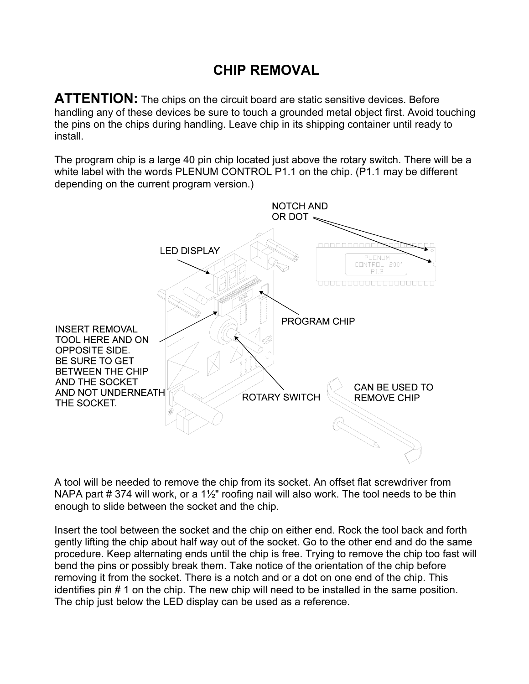## **CHIP REMOVAL**

ATTENTION: The chips on the circuit board are static sensitive devices. Before handling any of these devices be sure to touch a grounded metal object first. Avoid touching the pins on the chips during handling. Leave chip in its shipping container until ready to install.

The program chip is a large 40 pin chip located just above the rotary switch. There will be a white label with the words PLENUM CONTROL P1.1 on the chip. (P1.1 may be different depending on the current program version.)



A tool will be needed to remove the chip from its socket. An offset flat screwdriver from NAPA part # 374 will work, or a 1½" roofing nail will also work. The tool needs to be thin enough to slide between the socket and the chip.

Insert the tool between the socket and the chip on either end. Rock the tool back and forth gently lifting the chip about half way out of the socket. Go to the other end and do the same procedure. Keep alternating ends until the chip is free. Trying to remove the chip too fast will bend the pins or possibly break them. Take notice of the orientation of the chip before removing it from the socket. There is a notch and or a dot on one end of the chip. This identifies pin # 1 on the chip. The new chip will need to be installed in the same position. The chip just below the LED display can be used as a reference.